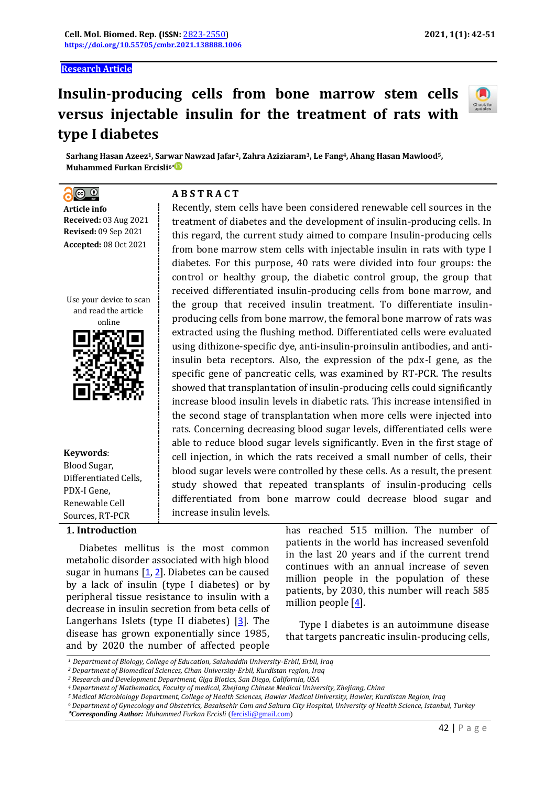**Research Article**

# **Insulin-producing cells from bone marrow stem cells versus injectable insulin for the treatment of rats with type I diabetes**

Recently, stem cells have been considered renewable cell sources in the treatment of diabetes and the development of insulin-producing cells. In this regard, the current study aimed to compare Insulin-producing cells from bone marrow stem cells with injectable insulin in rats with type I diabetes. For this purpose, 40 rats were divided into four groups: the control or healthy group, the diabetic control group, the group that received differentiated insulin-producing cells from bone marrow, and the group that received insulin treatment. To differentiate insulinproducing cells from bone marrow, the femoral bone marrow of rats was extracted using the flushing method. Differentiated cells were evaluated using dithizone-specific dye, anti-insulin-proinsulin antibodies, and antiinsulin beta receptors. Also, the expression of the pdx-I gene, as the specific gene of pancreatic cells, was examined by RT-PCR. The results showed that transplantation of insulin-producing cells could significantly increase blood insulin levels in diabetic rats. This increase intensified in the second stage of transplantation when more cells were injected into rats. Concerning decreasing blood sugar levels, differentiated cells were able to reduce blood sugar levels significantly. Even in the first stage of cell injection, in which the rats received a small number of cells, their blood sugar levels were controlled by these cells. As a result, the present study showed that repeated transplants of insulin-producing cells differentiated from bone marrow could decrease blood sugar and



**Sarhang Hasan Azeez1, Sarwar Nawzad Jafar2, Zahra Aziziaram3, Le Fang4, Ahang Hasan Mawlood5, Muhammed Furkan Ercisli6\***

**A B S T R A C T**

 $\circledcirc$  $\overline{a}$ **Article info Received:** 03 Aug 2021 **Revised:** 09 Sep 2021 **Accepted:** 08 Oct 2021

Use your device to scan and read the article



**Keywords**:

Blood Sugar, Differentiated Cells, PDX-I Gene, Renewable Cell Sources, RT-PCR

## **1. Introduction**

Diabetes mellitus is the most common metabolic disorder associated with high blood sugar in humans  $[1, 2]$  $[1, 2]$  $[1, 2]$  $[1, 2]$  $[1, 2]$ . Diabetes can be caused by a lack of insulin (type I diabetes) or by peripheral tissue resistance to insulin with a decrease in insulin secretion from beta cells of Langerhans Islets (type II diabetes) [[3](#page-6-2)]. The disease has grown exponentially since 1985, and by 2020 the number of affected people

has reached 515 million. The number of patients in the world has increased sevenfold in the last 20 years and if the current trend continues with an annual increase of seven million people in the population of these patients, by 2030, this number will reach 585 million people  $[4]$  $[4]$  $[4]$ .

Type I diabetes is an autoimmune disease that targets pancreatic insulin-producing cells,

increase insulin levels.

*<sup>5</sup> Medical Microbiology Department, College of Health Sciences, Hawler Medical University, Hawler, Kurdistan Region, Iraq*

*<sup>1</sup> Department of Biology, College of Education, Salahaddin University-Erbil, Erbil, Iraq*

*<sup>2</sup> Department of Biomedical Sciences, Cihan University-Erbil, Kurdistan region, Iraq*

*<sup>3</sup> Research and Development Department, Giga Biotics, San Diego, California, USA*

*<sup>4</sup> Department of Mathematics, Faculty of medical, Zhejiang Chinese Medical University, Zhejiang, China* 

*<sup>6</sup> Department of Gynecology and Obstetrics, Basaksehir Cam and Sakura City Hospital, University of Health Science, Istanbul, Turkey*

*<sup>\*</sup>Corresponding Author: Muhammed Furkan Ercisli* [\(fercisli@gmail.com\)](mailto:fercisli@gmail.com)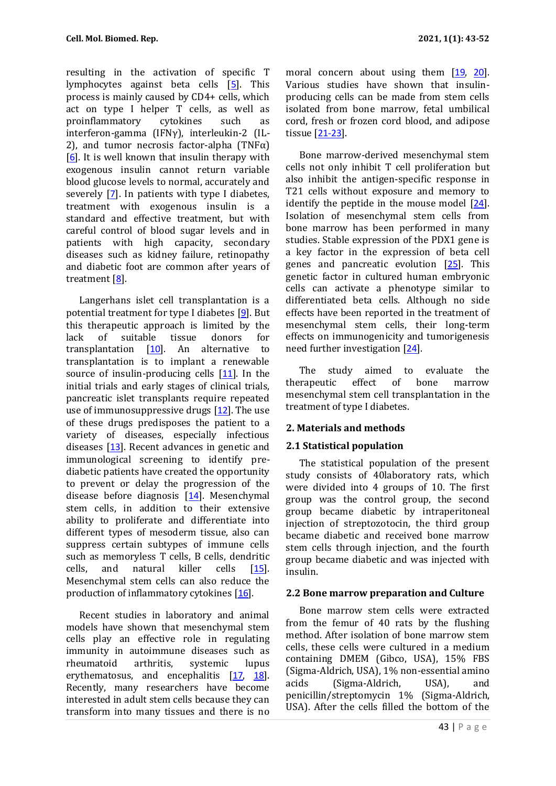resulting in the activation of specific T lymphocytes against beta cells [[5](#page-6-4)]. This process is mainly caused by CD4+ cells, which act on type I helper T cells, as well as proinflammatory cytokines such as interferon-gamma (IFNγ), interleukin-2 (IL-2), and tumor necrosis factor-alpha (TNF $\alpha$ ) [[6](#page-6-5)]. It is well known that insulin therapy with exogenous insulin cannot return variable blood glucose levels to normal, accurately and severely  $[7]$  $[7]$  $[7]$ . In patients with type I diabetes, treatment with exogenous insulin is a standard and effective treatment, but with careful control of blood sugar levels and in patients with high capacity, secondary diseases such as kidney failure, retinopathy and diabetic foot are common after years of treatment [[8](#page-7-0)].

Langerhans islet cell transplantation is a potential treatment for type I diabetes [[9](#page-7-1)]. But this therapeutic approach is limited by the lack of suitable tissue donors for transplantation  $[10]$  $[10]$  $[10]$ . An alternative to transplantation is to implant a renewable source of insulin-producing cells [[11](#page-7-3)]. In the initial trials and early stages of clinical trials, pancreatic islet transplants require repeated use of immunosuppressive drugs  $[12]$  $[12]$  $[12]$ . The use of these drugs predisposes the patient to a variety of diseases, especially infectious diseases [[13](#page-7-5)]. Recent advances in genetic and immunological screening to identify prediabetic patients have created the opportunity to prevent or delay the progression of the disease before diagnosis [[14](#page-7-6)]. Mesenchymal stem cells, in addition to their extensive ability to proliferate and differentiate into different types of mesoderm tissue, also can suppress certain subtypes of immune cells such as memoryless T cells, B cells, dendritic cells, and natural killer cells [[15](#page-7-7)]. Mesenchymal stem cells can also reduce the production of inflammatory cytokines [[16](#page-7-8)].

Recent studies in laboratory and animal models have shown that mesenchymal stem cells play an effective role in regulating immunity in autoimmune diseases such as rheumatoid arthritis, systemic lupus erythematosus, and encephalitis [[17](#page-7-9), [18](#page-7-10)]. Recently, many researchers have become interested in adult stem cells because they can transform into many tissues and there is no

moral concern about using them [[19](#page-7-11), [20](#page-7-12)]. Various studies have shown that insulinproducing cells can be made from stem cells isolated from bone marrow, fetal umbilical cord, fresh or frozen cord blood, and adipose tissue [[21-23](#page-7-13)].

Bone marrow-derived mesenchymal stem cells not only inhibit T cell proliferation but also inhibit the antigen-specific response in T21 cells without exposure and memory to identify the peptide in the mouse model [[24](#page-7-14)]. Isolation of mesenchymal stem cells from bone marrow has been performed in many studies. Stable expression of the PDX1 gene is a key factor in the expression of beta cell genes and pancreatic evolution [[25](#page-8-0)]. This genetic factor in cultured human embryonic cells can activate a phenotype similar to differentiated beta cells. Although no side effects have been reported in the treatment of mesenchymal stem cells, their long-term effects on immunogenicity and tumorigenesis need further investigation [[24](#page-7-14)].

The study aimed to evaluate the therapeutic effect of bone marrow mesenchymal stem cell transplantation in the treatment of type I diabetes.

# **2. Materials and methods**

#### **2.1 Statistical population**

The statistical population of the present study consists of 40laboratory rats, which were divided into 4 groups of 10. The first group was the control group, the second group became diabetic by intraperitoneal injection of streptozotocin, the third group became diabetic and received bone marrow stem cells through injection, and the fourth group became diabetic and was injected with insulin.

#### **2.2 Bone marrow preparation and Culture**

Bone marrow stem cells were extracted from the femur of 40 rats by the flushing method. After isolation of bone marrow stem cells, these cells were cultured in a medium containing DMEM (Gibco, USA), 15% FBS (Sigma-Aldrich, USA), 1% non-essential amino acids (Sigma-Aldrich, USA), and penicillin/streptomycin 1% (Sigma-Aldrich, USA). After the cells filled the bottom of the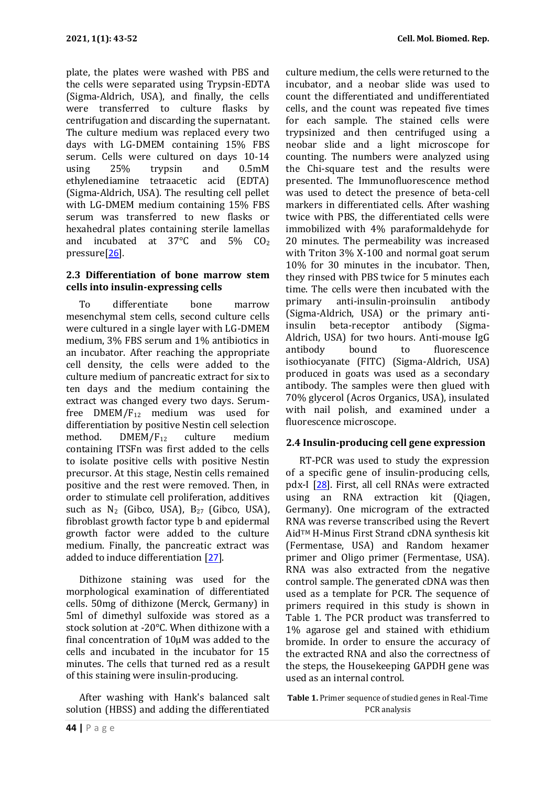plate, the plates were washed with PBS and the cells were separated using Trypsin-EDTA (Sigma-Aldrich, USA), and finally, the cells were transferred to culture flasks by centrifugation and discarding the supernatant. The culture medium was replaced every two days with LG-DMEM containing 15% FBS serum. Cells were cultured on days 10-14 using 25% trypsin and 0.5mM ethylenediamine tetraacetic acid (EDTA) (Sigma-Aldrich, USA). The resulting cell pellet with LG-DMEM medium containing 15% FBS serum was transferred to new flasks or hexahedral plates containing sterile lamellas and incubated at  $37^{\circ}$ C and  $5\%$  CO<sub>2</sub> pressure[[26](#page-8-1)].

## **2.3 Differentiation of bone marrow stem cells into insulin-expressing cells**

To differentiate bone marrow mesenchymal stem cells, second culture cells were cultured in a single layer with LG-DMEM medium, 3% FBS serum and 1% antibiotics in an incubator. After reaching the appropriate cell density, the cells were added to the culture medium of pancreatic extract for six to ten days and the medium containing the extract was changed every two days. Serumfree DMEM/F<sup>12</sup> medium was used for differentiation by positive Nestin cell selection method. DMEM/F<sub>12</sub> culture medium containing ITSFn was first added to the cells to isolate positive cells with positive Nestin precursor. At this stage, Nestin cells remained positive and the rest were removed. Then, in order to stimulate cell proliferation, additives such as  $N_2$  (Gibco, USA),  $B_{27}$  (Gibco, USA), fibroblast growth factor type b and epidermal growth factor were added to the culture medium. Finally, the pancreatic extract was added to induce differentiation [[27](#page-8-2)].

Dithizone staining was used for the morphological examination of differentiated cells. 50mg of dithizone (Merck, Germany) in 5ml of dimethyl sulfoxide was stored as a stock solution at -20°C. When dithizone with a final concentration of 10μM was added to the cells and incubated in the incubator for 15 minutes. The cells that turned red as a result of this staining were insulin-producing.

After washing with Hank's balanced salt solution (HBSS) and adding the differentiated

culture medium, the cells were returned to the incubator, and a neobar slide was used to count the differentiated and undifferentiated cells, and the count was repeated five times for each sample. The stained cells were trypsinized and then centrifuged using a neobar slide and a light microscope for counting. The numbers were analyzed using the Chi-square test and the results were presented. The Immunofluorescence method was used to detect the presence of beta-cell markers in differentiated cells. After washing twice with PBS, the differentiated cells were immobilized with 4% paraformaldehyde for 20 minutes. The permeability was increased with Triton 3% X-100 and normal goat serum 10% for 30 minutes in the incubator. Then, they rinsed with PBS twice for 5 minutes each time. The cells were then incubated with the primary anti-insulin-proinsulin antibody (Sigma-Aldrich, USA) or the primary antiinsulin beta-receptor antibody (Sigma-Aldrich, USA) for two hours. Anti-mouse IgG antibody bound to fluorescence isothiocyanate (FITC) (Sigma-Aldrich, USA) produced in goats was used as a secondary antibody. The samples were then glued with 70% glycerol (Acros Organics, USA), insulated with nail polish, and examined under a fluorescence microscope.

# **2.4 Insulin-producing cell gene expression**

RT-PCR was used to study the expression of a specific gene of insulin-producing cells, pdx-I [[28](#page-8-3)]. First, all cell RNAs were extracted using an RNA extraction kit (Qiagen, Germany). One microgram of the extracted RNA was reverse transcribed using the Revert AidTM H-Minus First Strand cDNA synthesis kit (Fermentase, USA) and Random hexamer primer and Oligo primer (Fermentase, USA). RNA was also extracted from the negative control sample. The generated cDNA was then used as a template for PCR. The sequence of primers required in this study is shown in Table 1. The PCR product was transferred to 1% agarose gel and stained with ethidium bromide. In order to ensure the accuracy of the extracted RNA and also the correctness of the steps, the Housekeeping GAPDH gene was used as an internal control.

**Table 1.** Primer sequence of studied genes in Real-Time PCR analysis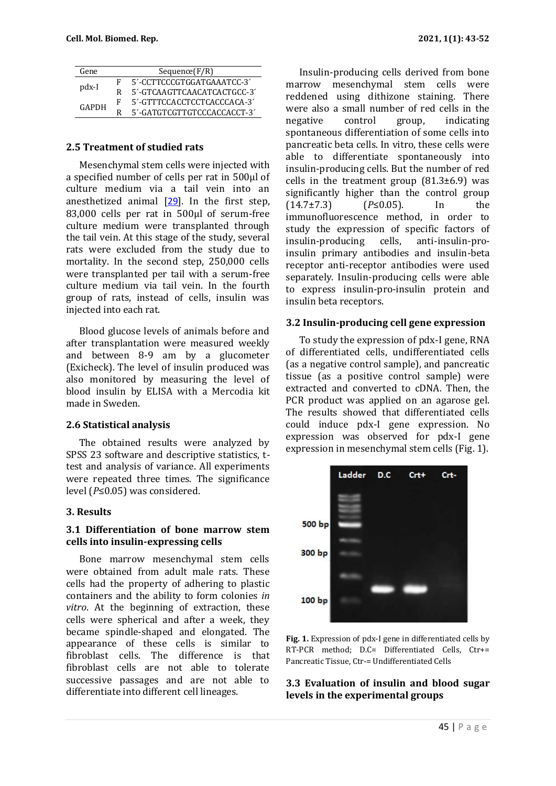| Gene  |   | Sequence(F/R)               |
|-------|---|-----------------------------|
| pdx-I |   | 5'-CCTTCCCGTGGATGAAATCC-3'  |
|       |   | 5'-GTCAAGTTCAACATCACTGCC-3' |
| GAPDH | F | 5'-GTTTCCACCTCCTCACCCACA-3' |
|       |   | 5'-GATGTCGTTGTCCCACCACCT-3' |

#### **2.5 Treatment of studied rats**

Mesenchymal stem cells were injected with a specified number of cells per rat in 500μl of culture medium via a tail vein into an anesthetized animal [[29](#page-8-4)]. In the first step, 83,000 cells per rat in 500μl of serum-free culture medium were transplanted through the tail vein. At this stage of the study, several rats were excluded from the study due to mortality. In the second step, 250,000 cells were transplanted per tail with a serum-free culture medium via tail vein. In the fourth group of rats, instead of cells, insulin was injected into each rat.

Blood glucose levels of animals before and after transplantation were measured weekly and between 8-9 am by a glucometer (Exicheck). The level of insulin produced was also monitored by measuring the level of blood insulin by ELISA with a Mercodia kit made in Sweden.

#### **2.6 Statistical analysis**

The obtained results were analyzed by SPSS 23 software and descriptive statistics, ttest and analysis of variance. All experiments were repeated three times. The significance level (*P*≤0.05) was considered.

#### **3. Results**

#### **3.1 Differentiation of bone marrow stem cells into insulin-expressing cells**

Bone marrow mesenchymal stem cells were obtained from adult male rats. These cells had the property of adhering to plastic containers and the ability to form colonies *in vitro*. At the beginning of extraction, these cells were spherical and after a week, they became spindle-shaped and elongated. The appearance of these cells is similar to fibroblast cells. The difference is that fibroblast cells are not able to tolerate successive passages and are not able to differentiate into different cell lineages.

Insulin-producing cells derived from bone marrow mesenchymal stem cells were reddened using dithizone staining. There were also a small number of red cells in the negative control group, indicating spontaneous differentiation of some cells into pancreatic beta cells. In vitro, these cells were able to differentiate spontaneously into insulin-producing cells. But the number of red cells in the treatment group  $(81.3\pm6.9)$  was significantly higher than the control group (14.7±7.3) (*P*≤0.05). In the immunofluorescence method, in order to study the expression of specific factors of insulin-producing cells, anti-insulin-proinsulin primary antibodies and insulin-beta receptor anti-receptor antibodies were used separately. Insulin-producing cells were able to express insulin-pro-insulin protein and insulin beta receptors.

#### **3.2 Insulin-producing cell gene expression**

To study the expression of pdx-I gene, RNA of differentiated cells, undifferentiated cells (as a negative control sample), and pancreatic tissue (as a positive control sample) were extracted and converted to cDNA. Then, the PCR product was applied on an agarose gel. The results showed that differentiated cells could induce pdx-I gene expression. No expression was observed for pdx-I gene expression in mesenchymal stem cells (Fig. 1).



**Fig. 1.** Expression of pdx-I gene in differentiated cells by RT-PCR method; D.C= Differentiated Cells, Ctr+= Pancreatic Tissue, Ctr-= Undifferentiated Cells

#### **3.3 Evaluation of insulin and blood sugar levels in the experimental groups**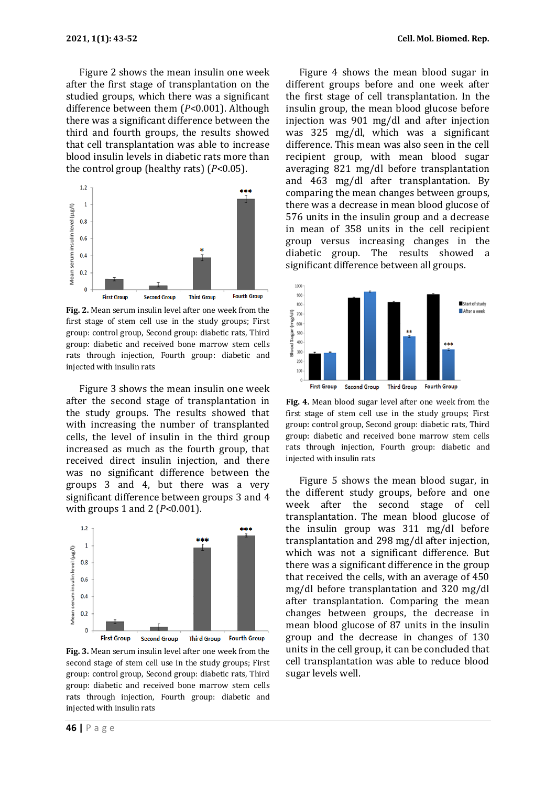Figure 2 shows the mean insulin one week after the first stage of transplantation on the studied groups, which there was a significant difference between them (*P*<0.001). Although there was a significant difference between the third and fourth groups, the results showed that cell transplantation was able to increase blood insulin levels in diabetic rats more than the control group (healthy rats) (*P*<0.05).



**Fig. 2.** Mean serum insulin level after one week from the first stage of stem cell use in the study groups; First group: control group, Second group: diabetic rats, Third group: diabetic and received bone marrow stem cells rats through injection, Fourth group: diabetic and injected with insulin rats

Figure 3 shows the mean insulin one week after the second stage of transplantation in the study groups. The results showed that with increasing the number of transplanted cells, the level of insulin in the third group increased as much as the fourth group, that received direct insulin injection, and there was no significant difference between the groups 3 and 4, but there was a very significant difference between groups 3 and 4 with groups 1 and 2 (*P*<0.001).



**Fig. 3.** Mean serum insulin level after one week from the second stage of stem cell use in the study groups; First group: control group, Second group: diabetic rats, Third group: diabetic and received bone marrow stem cells rats through injection, Fourth group: diabetic and injected with insulin rats

Figure 4 shows the mean blood sugar in different groups before and one week after the first stage of cell transplantation. In the insulin group, the mean blood glucose before injection was 901 mg/dl and after injection was 325 mg/dl, which was a significant difference. This mean was also seen in the cell recipient group, with mean blood sugar averaging 821 mg/dl before transplantation and 463 mg/dl after transplantation. By comparing the mean changes between groups, there was a decrease in mean blood glucose of 576 units in the insulin group and a decrease in mean of 358 units in the cell recipient group versus increasing changes in the diabetic group. The results showed a significant difference between all groups.



**Fig. 4.** Mean blood sugar level after one week from the first stage of stem cell use in the study groups; First group: control group, Second group: diabetic rats, Third group: diabetic and received bone marrow stem cells rats through injection, Fourth group: diabetic and injected with insulin rats

Figure 5 shows the mean blood sugar, in the different study groups, before and one week after the second stage of cell transplantation. The mean blood glucose of the insulin group was 311 mg/dl before transplantation and 298 mg/dl after injection, which was not a significant difference. But there was a significant difference in the group that received the cells, with an average of 450 mg/dl before transplantation and 320 mg/dl after transplantation. Comparing the mean changes between groups, the decrease in mean blood glucose of 87 units in the insulin group and the decrease in changes of 130 units in the cell group, it can be concluded that cell transplantation was able to reduce blood sugar levels well.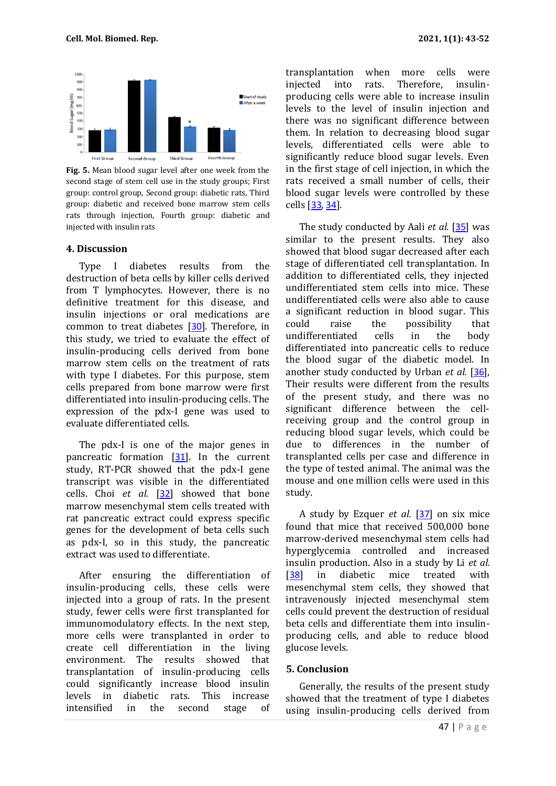

**Fig. 5.** Mean blood sugar level after one week from the second stage of stem cell use in the study groups; First group: control group, Second group: diabetic rats, Third group: diabetic and received bone marrow stem cells rats through injection, Fourth group: diabetic and injected with insulin rats

#### **4. Discussion**

Type I diabetes results from the destruction of beta cells by killer cells derived from T lymphocytes. However, there is no definitive treatment for this disease, and insulin injections or oral medications are common to treat diabetes [[30](#page-8-5)]. Therefore, in this study, we tried to evaluate the effect of insulin-producing cells derived from bone marrow stem cells on the treatment of rats with type I diabetes. For this purpose, stem cells prepared from bone marrow were first differentiated into insulin-producing cells. The expression of the pdx-I gene was used to evaluate differentiated cells.

The pdx-I is one of the major genes in pancreatic formation [[31](#page-8-6)]. In the current study, RT-PCR showed that the pdx-I gene transcript was visible in the differentiated cells. Choi *et al.* [[32](#page-8-7)] showed that bone marrow mesenchymal stem cells treated with rat pancreatic extract could express specific genes for the development of beta cells such as pdx-I, so in this study, the pancreatic extract was used to differentiate.

After ensuring the differentiation of insulin-producing cells, these cells were injected into a group of rats. In the present study, fewer cells were first transplanted for immunomodulatory effects. In the next step, more cells were transplanted in order to create cell differentiation in the living environment. The results showed that transplantation of insulin-producing cells could significantly increase blood insulin levels in diabetic rats. This increase intensified in the second stage of transplantation when more cells were injected into rats. Therefore, insulinproducing cells were able to increase insulin levels to the level of insulin injection and there was no significant difference between them. In relation to decreasing blood sugar levels, differentiated cells were able to significantly reduce blood sugar levels. Even in the first stage of cell injection, in which the rats received a small number of cells, their blood sugar levels were controlled by these cells [[33](#page-8-8), [34](#page-8-9)].

The study conducted by Aali *et al*. [[35](#page-8-10)] was similar to the present results. They also showed that blood sugar decreased after each stage of differentiated cell transplantation. In addition to differentiated cells, they injected undifferentiated stem cells into mice. These undifferentiated cells were also able to cause a significant reduction in blood sugar. This could raise the possibility that undifferentiated cells in the body differentiated into pancreatic cells to reduce the blood sugar of the diabetic model. In another study conducted by Urban *et al.* [[36](#page-8-11)], Their results were different from the results of the present study, and there was no significant difference between the cellreceiving group and the control group in reducing blood sugar levels, which could be due to differences in the number of transplanted cells per case and difference in the type of tested animal. The animal was the mouse and one million cells were used in this study.

A study by Ezquer *et al.* [[37](#page-8-12)] on six mice found that mice that received 500,000 bone marrow-derived mesenchymal stem cells had hyperglycemia controlled and increased insulin production. Also in a study by Li *et al.* [[38](#page-9-0)] in diabetic mice treated with mesenchymal stem cells, they showed that intravenously injected mesenchymal stem cells could prevent the destruction of residual beta cells and differentiate them into insulinproducing cells, and able to reduce blood glucose levels.

#### **5. Conclusion**

Generally, the results of the present study showed that the treatment of type I diabetes using insulin-producing cells derived from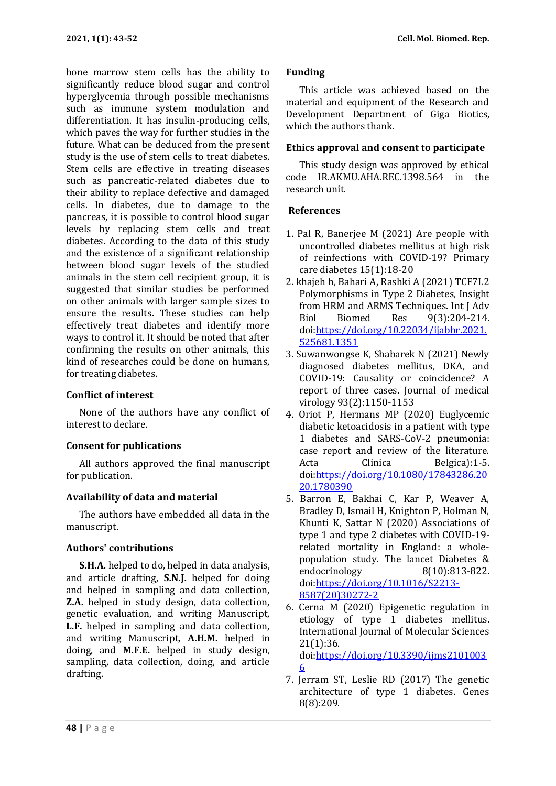bone marrow stem cells has the ability to significantly reduce blood sugar and control hyperglycemia through possible mechanisms such as immune system modulation and differentiation. It has insulin-producing cells, which paves the way for further studies in the future. What can be deduced from the present study is the use of stem cells to treat diabetes. Stem cells are effective in treating diseases such as pancreatic-related diabetes due to their ability to replace defective and damaged cells. In diabetes, due to damage to the pancreas, it is possible to control blood sugar levels by replacing stem cells and treat diabetes. According to the data of this study and the existence of a significant relationship between blood sugar levels of the studied animals in the stem cell recipient group, it is suggested that similar studies be performed on other animals with larger sample sizes to ensure the results. These studies can help effectively treat diabetes and identify more ways to control it. It should be noted that after confirming the results on other animals, this kind of researches could be done on humans, for treating diabetes.

## **Conflict of interest**

None of the authors have any conflict of interest to declare.

# **Consent for publications**

All authors approved the final manuscript for publication.

# **Availability of data and material**

The authors have embedded all data in the manuscript.

# **Authors' contributions**

**S.H.A.** helped to do, helped in data analysis, and article drafting, **S.N.J.** helped for doing and helped in sampling and data collection, **Z.A.** helped in study design, data collection, genetic evaluation, and writing Manuscript, **L.F.** helped in sampling and data collection, and writing Manuscript, **A.H.M.** helped in doing, and **M.F.E.** helped in study design, sampling, data collection, doing, and article drafting.

# **Funding**

This article was achieved based on the material and equipment of the Research and Development Department of Giga Biotics, which the authors thank.

# **Ethics approval and consent to participate**

This study design was approved by ethical code IR.AKMU.AHA.REC.1398.564 in the research unit.

# **References**

- <span id="page-6-0"></span>1. Pal R, Banerjee M (2021) Are people with uncontrolled diabetes mellitus at high risk of reinfections with COVID-19? Primary care diabetes 15(1):18-20
- <span id="page-6-1"></span>2. khajeh h, Bahari A, Rashki A (2021) TCF7L2 Polymorphisms in Type 2 Diabetes, Insight from HRM and ARMS Techniques. Int J Adv Biol Biomed Res 9(3):204-214. doi[:https://doi.org/10.22034/ijabbr.2021.](https://doi.org/10.22034/ijabbr.2021.525681.1351) [525681.1351](https://doi.org/10.22034/ijabbr.2021.525681.1351)
- <span id="page-6-2"></span>3. Suwanwongse K, Shabarek N (2021) Newly diagnosed diabetes mellitus, DKA, and COVID‐19: Causality or coincidence? A report of three cases. Journal of medical virology 93(2):1150-1153
- <span id="page-6-3"></span>4. Oriot P, Hermans MP (2020) Euglycemic diabetic ketoacidosis in a patient with type 1 diabetes and SARS-CoV-2 pneumonia: case report and review of the literature. Acta Clinica Belgica):1-5. doi[:https://doi.org/10.1080/17843286.20](https://doi.org/10.1080/17843286.2020.1780390) [20.1780390](https://doi.org/10.1080/17843286.2020.1780390)
- <span id="page-6-4"></span>5. Barron E, Bakhai C, Kar P, Weaver A, Bradley D, Ismail H, Knighton P, Holman N, Khunti K, Sattar N (2020) Associations of type 1 and type 2 diabetes with COVID-19 related mortality in England: a wholepopulation study. The lancet Diabetes & endocrinology 8(10):813-822. doi[:https://doi.org/10.1016/S2213-](https://doi.org/10.1016/S2213-8587(20)30272-2) [8587\(20\)30272-2](https://doi.org/10.1016/S2213-8587(20)30272-2)
- <span id="page-6-5"></span>6. Cerna M (2020) Epigenetic regulation in etiology of type 1 diabetes mellitus. International Journal of Molecular Sciences 21(1):36. doi[:https://doi.org/10.3390/ijms2101003](https://doi.org/10.3390/ijms21010036) [6](https://doi.org/10.3390/ijms21010036)
- <span id="page-6-6"></span>7. Jerram ST, Leslie RD (2017) The genetic architecture of type 1 diabetes. Genes 8(8):209.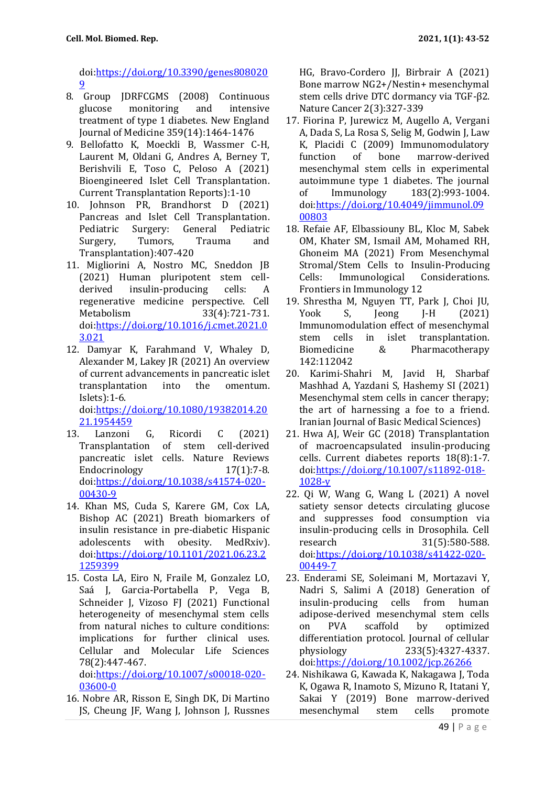doi[:https://doi.org/10.3390/genes808020](https://doi.org/10.3390/genes8080209) [9](https://doi.org/10.3390/genes8080209)

- <span id="page-7-0"></span>8. Group JDRFCGMS (2008) Continuous glucose monitoring and intensive treatment of type 1 diabetes. New England Journal of Medicine 359(14):1464-1476
- <span id="page-7-1"></span>9. Bellofatto K, Moeckli B, Wassmer C-H, Laurent M, Oldani G, Andres A, Berney T, Berishvili E, Toso C, Peloso A (2021) Bioengineered Islet Cell Transplantation. Current Transplantation Reports):1-10
- <span id="page-7-2"></span>10. Johnson PR, Brandhorst D (2021) Pancreas and Islet Cell Transplantation. Pediatric Surgery: General Pediatric Surgery, Tumors, Trauma and Transplantation):407-420
- <span id="page-7-3"></span>11. Migliorini A, Nostro MC, Sneddon JB (2021) Human pluripotent stem cellderived insulin-producing cells: A regenerative medicine perspective. Cell Metabolism 33(4):721-731. doi[:https://doi.org/10.1016/j.cmet.2021.0](https://doi.org/10.1016/j.cmet.2021.03.021) [3.021](https://doi.org/10.1016/j.cmet.2021.03.021)
- <span id="page-7-4"></span>12. Damyar K, Farahmand V, Whaley D, Alexander M, Lakey JR (2021) An overview of current advancements in pancreatic islet transplantation into the omentum. Islets):1-6. doi[:https://doi.org/10.1080/19382014.20](https://doi.org/10.1080/19382014.2021.1954459) [21.1954459](https://doi.org/10.1080/19382014.2021.1954459)
- <span id="page-7-5"></span>13. Lanzoni G, Ricordi C (2021) Transplantation of stem cell-derived pancreatic islet cells. Nature Reviews Endocrinology 17(1):7-8. doi[:https://doi.org/10.1038/s41574-020-](https://doi.org/10.1038/s41574-020-00430-9) [00430-9](https://doi.org/10.1038/s41574-020-00430-9)
- <span id="page-7-6"></span>14. Khan MS, Cuda S, Karere GM, Cox LA, Bishop AC (2021) Breath biomarkers of insulin resistance in pre-diabetic Hispanic adolescents with obesity. MedRxiv). doi[:https://doi.org/10.1101/2021.06.23.2](https://doi.org/10.1101/2021.06.23.21259399) [1259399](https://doi.org/10.1101/2021.06.23.21259399)
- <span id="page-7-7"></span>15. Costa LA, Eiro N, Fraile M, Gonzalez LO, Saá J, Garcia-Portabella P, Vega B, Schneider J, Vizoso FJ (2021) Functional heterogeneity of mesenchymal stem cells from natural niches to culture conditions: implications for further clinical uses. Cellular and Molecular Life Sciences 78(2):447-467.

doi[:https://doi.org/10.1007/s00018-020-](https://doi.org/10.1007/s00018-020-03600-0) [03600-0](https://doi.org/10.1007/s00018-020-03600-0)

<span id="page-7-8"></span>16. Nobre AR, Risson E, Singh DK, Di Martino JS, Cheung JF, Wang J, Johnson J, Russnes

HG, Bravo-Cordero JJ, Birbrair A (2021) Bone marrow NG2+/Nestin+ mesenchymal stem cells drive DTC dormancy via TGF-β2. Nature Cancer 2(3):327-339

- <span id="page-7-9"></span>17. Fiorina P, Jurewicz M, Augello A, Vergani A, Dada S, La Rosa S, Selig M, Godwin J, Law K, Placidi C (2009) Immunomodulatory function of bone marrow-derived mesenchymal stem cells in experimental autoimmune type 1 diabetes. The journal of Immunology 183(2):993-1004. doi[:https://doi.org/10.4049/jimmunol.09](https://doi.org/10.4049/jimmunol.0900803) [00803](https://doi.org/10.4049/jimmunol.0900803)
- <span id="page-7-10"></span>18. Refaie AF, Elbassiouny BL, Kloc M, Sabek OM, Khater SM, Ismail AM, Mohamed RH, Ghoneim MA (2021) From Mesenchymal Stromal/Stem Cells to Insulin-Producing Cells: Immunological Considerations. Frontiers in Immunology 12
- <span id="page-7-11"></span>19. Shrestha M, Nguyen TT, Park J, Choi JU, Yook S, Jeong J-H (2021) Immunomodulation effect of mesenchymal stem cells in islet transplantation. Biomedicine & Pharmacotherapy 142:112042
- <span id="page-7-12"></span>20. Karimi-Shahri M, Javid H, Sharbaf Mashhad A, Yazdani S, Hashemy SI (2021) Mesenchymal stem cells in cancer therapy; the art of harnessing a foe to a friend. Iranian Journal of Basic Medical Sciences)
- <span id="page-7-13"></span>21. Hwa AJ, Weir GC (2018) Transplantation of macroencapsulated insulin-producing cells. Current diabetes reports 18(8):1-7. doi[:https://doi.org/10.1007/s11892-018-](https://doi.org/10.1007/s11892-018-1028-y) [1028-y](https://doi.org/10.1007/s11892-018-1028-y)
- 22. Qi W, Wang G, Wang L (2021) A novel satiety sensor detects circulating glucose and suppresses food consumption via insulin-producing cells in Drosophila. Cell research 31(5):580-588. doi[:https://doi.org/10.1038/s41422-020-](https://doi.org/10.1038/s41422-020-00449-7) [00449-7](https://doi.org/10.1038/s41422-020-00449-7)
- 23. Enderami SE, Soleimani M, Mortazavi Y, Nadri S, Salimi A (2018) Generation of insulin‐producing cells from human adipose‐derived mesenchymal stem cells on PVA scaffold by optimized differentiation protocol. Journal of cellular physiology 233(5):4327-4337. doi[:https://doi.org/10.1002/jcp.26266](https://doi.org/10.1002/jcp.26266)
- <span id="page-7-14"></span>24. Nishikawa G, Kawada K, Nakagawa J, Toda K, Ogawa R, Inamoto S, Mizuno R, Itatani Y, Sakai Y (2019) Bone marrow-derived mesenchymal stem cells promote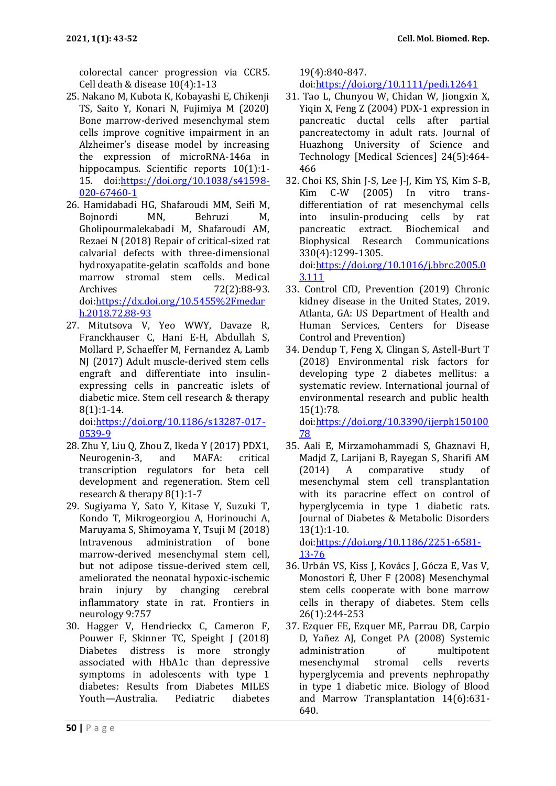colorectal cancer progression via CCR5. Cell death & disease 10(4):1-13

- <span id="page-8-0"></span>25. Nakano M, Kubota K, Kobayashi E, Chikenji TS, Saito Y, Konari N, Fujimiya M (2020) Bone marrow-derived mesenchymal stem cells improve cognitive impairment in an Alzheimer's disease model by increasing the expression of microRNA-146a in hippocampus. Scientific reports 10(1):1-15. doi[:https://doi.org/10.1038/s41598-](https://doi.org/10.1038/s41598-020-67460-1) [020-67460-1](https://doi.org/10.1038/s41598-020-67460-1)
- <span id="page-8-1"></span>26. Hamidabadi HG, Shafaroudi MM, Seifi M, Bojnordi MN, Behruzi M, Gholipourmalekabadi M, Shafaroudi AM, Rezaei N (2018) Repair of critical-sized rat calvarial defects with three-dimensional hydroxyapatite-gelatin scaffolds and bone marrow stromal stem cells. Medical Archives 72(2):88-93. doi[:https://dx.doi.org/10.5455%2Fmedar](https://dx.doi.org/10.5455%2Fmedarh.2018.72.88-93) [h.2018.72.88-93](https://dx.doi.org/10.5455%2Fmedarh.2018.72.88-93)
- <span id="page-8-2"></span>27. Mitutsova V, Yeo WWY, Davaze R, Franckhauser C, Hani E-H, Abdullah S, Mollard P, Schaeffer M, Fernandez A, Lamb NJ (2017) Adult muscle-derived stem cells engraft and differentiate into insulinexpressing cells in pancreatic islets of diabetic mice. Stem cell research & therapy 8(1):1-14.

doi[:https://doi.org/10.1186/s13287-017-](https://doi.org/10.1186/s13287-017-0539-9) [0539-9](https://doi.org/10.1186/s13287-017-0539-9)

- <span id="page-8-3"></span>28. Zhu Y, Liu Q, Zhou Z, Ikeda Y (2017) PDX1, Neurogenin-3, and MAFA: critical transcription regulators for beta cell development and regeneration. Stem cell research & therapy 8(1):1-7
- <span id="page-8-4"></span>29. Sugiyama Y, Sato Y, Kitase Y, Suzuki T, Kondo T, Mikrogeorgiou A, Horinouchi A, Maruyama S, Shimoyama Y, Tsuji M (2018) Intravenous administration of bone marrow-derived mesenchymal stem cell, but not adipose tissue-derived stem cell, ameliorated the neonatal hypoxic-ischemic brain injury by changing cerebral inflammatory state in rat. Frontiers in neurology 9:757
- <span id="page-8-5"></span>30. Hagger V, Hendrieckx C, Cameron F, Pouwer F, Skinner TC, Speight J (2018) Diabetes distress is more strongly associated with HbA1c than depressive symptoms in adolescents with type 1 diabetes: Results from Diabetes MILES Youth—Australia. Pediatric diabetes

19(4):840-847.

doi[:https://doi.org/10.1111/pedi.12641](https://doi.org/10.1111/pedi.12641)

- <span id="page-8-6"></span>31. Tao L, Chunyou W, Chidan W, Jiongxin X, Yiqin X, Feng Z (2004) PDX-1 expression in pancreatic ductal cells after partial pancreatectomy in adult rats. Journal of Huazhong University of Science and Technology [Medical Sciences] 24(5):464- 466
- <span id="page-8-7"></span>32. Choi KS, Shin J-S, Lee J-J, Kim YS, Kim S-B, Kim C-W (2005) In vitro transdifferentiation of rat mesenchymal cells into insulin-producing cells by rat pancreatic extract. Biochemical and Biophysical Research Communications 330(4):1299-1305. doi[:https://doi.org/10.1016/j.bbrc.2005.0](https://doi.org/10.1016/j.bbrc.2005.03.111) [3.111](https://doi.org/10.1016/j.bbrc.2005.03.111)
- <span id="page-8-8"></span>33. Control CfD, Prevention (2019) Chronic kidney disease in the United States, 2019. Atlanta, GA: US Department of Health and Human Services, Centers for Disease Control and Prevention)
- <span id="page-8-9"></span>34. Dendup T, Feng X, Clingan S, Astell-Burt T (2018) Environmental risk factors for developing type 2 diabetes mellitus: a systematic review. International journal of environmental research and public health 15(1):78.

doi[:https://doi.org/10.3390/ijerph150100](https://doi.org/10.3390/ijerph15010078) [78](https://doi.org/10.3390/ijerph15010078)

<span id="page-8-10"></span>35. Aali E, Mirzamohammadi S, Ghaznavi H, Madjd Z, Larijani B, Rayegan S, Sharifi AM (2014) A comparative study of mesenchymal stem cell transplantation with its paracrine effect on control of hyperglycemia in type 1 diabetic rats. Journal of Diabetes & Metabolic Disorders 13(1):1-10.

doi[:https://doi.org/10.1186/2251-6581-](https://doi.org/10.1186/2251-6581-13-76) [13-76](https://doi.org/10.1186/2251-6581-13-76)

- <span id="page-8-11"></span>36. Urbán VS, Kiss J, Kovács J, Gócza E, Vas V, Monostori Ė, Uher F (2008) Mesenchymal stem cells cooperate with bone marrow cells in therapy of diabetes. Stem cells 26(1):244-253
- <span id="page-8-12"></span>37. Ezquer FE, Ezquer ME, Parrau DB, Carpio D, Yañez AJ, Conget PA (2008) Systemic administration of multipotent<br>mesenchymal stromal cells reverts mesenchymal stromal cells reverts hyperglycemia and prevents nephropathy in type 1 diabetic mice. Biology of Blood and Marrow Transplantation 14(6):631- 640.